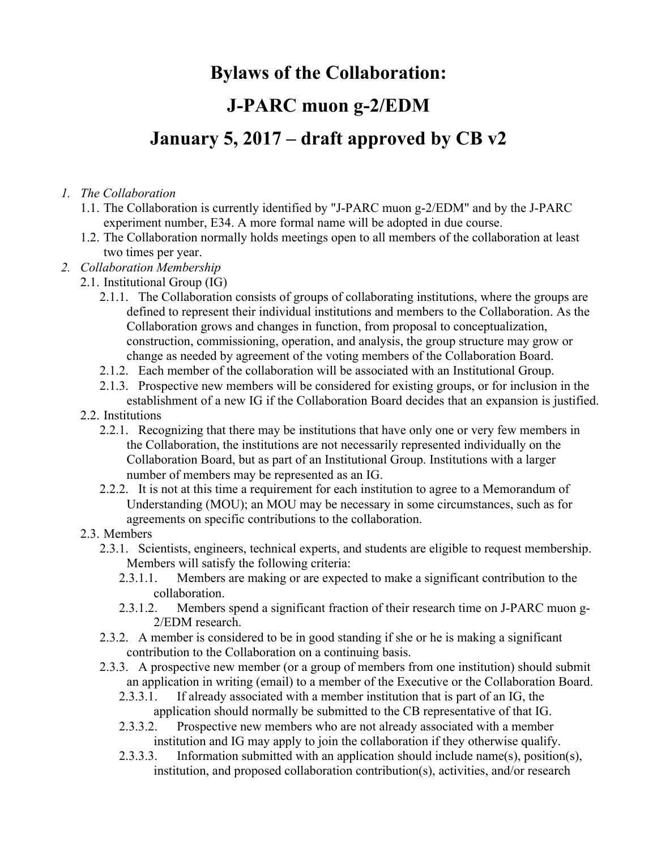# **Bylaws of the Collaboration: J-PARC muon g-2/EDM January 5, 2017 – draft approved by CB v2**

### *1. The Collaboration*

- 1.1. The Collaboration is currently identified by "J-PARC muon g-2/EDM" and by the J-PARC experiment number, E34. A more formal name will be adopted in due course.
- 1.2. The Collaboration normally holds meetings open to all members of the collaboration at least two times per year.
- *2. Collaboration Membership*
	- 2.1. Institutional Group (IG)
		- 2.1.1. The Collaboration consists of groups of collaborating institutions, where the groups are defined to represent their individual institutions and members to the Collaboration. As the Collaboration grows and changes in function, from proposal to conceptualization, construction, commissioning, operation, and analysis, the group structure may grow or change as needed by agreement of the voting members of the Collaboration Board.
		- 2.1.2. Each member of the collaboration will be associated with an Institutional Group.
		- 2.1.3. Prospective new members will be considered for existing groups, or for inclusion in the establishment of a new IG if the Collaboration Board decides that an expansion is justified.
	- 2.2. Institutions
		- 2.2.1. Recognizing that there may be institutions that have only one or very few members in the Collaboration, the institutions are not necessarily represented individually on the Collaboration Board, but as part of an Institutional Group. Institutions with a larger number of members may be represented as an IG.
		- 2.2.2. It is not at this time a requirement for each institution to agree to a Memorandum of Understanding (MOU); an MOU may be necessary in some circumstances, such as for agreements on specific contributions to the collaboration.
	- 2.3. Members
		- 2.3.1. Scientists, engineers, technical experts, and students are eligible to request membership. Members will satisfy the following criteria:
			- 2.3.1.1. Members are making or are expected to make a significant contribution to the collaboration.
			- 2.3.1.2. Members spend a significant fraction of their research time on J-PARC muon g-2/EDM research.
		- 2.3.2. A member is considered to be in good standing if she or he is making a significant contribution to the Collaboration on a continuing basis.
		- 2.3.3. A prospective new member (or a group of members from one institution) should submit an application in writing (email) to a member of the Executive or the Collaboration Board.
			- 2.3.3.1. If already associated with a member institution that is part of an IG, the application should normally be submitted to the CB representative of that IG.
			- 2.3.3.2. Prospective new members who are not already associated with a member institution and IG may apply to join the collaboration if they otherwise qualify.
			- 2.3.3.3. Information submitted with an application should include name(s), position(s), institution, and proposed collaboration contribution(s), activities, and/or research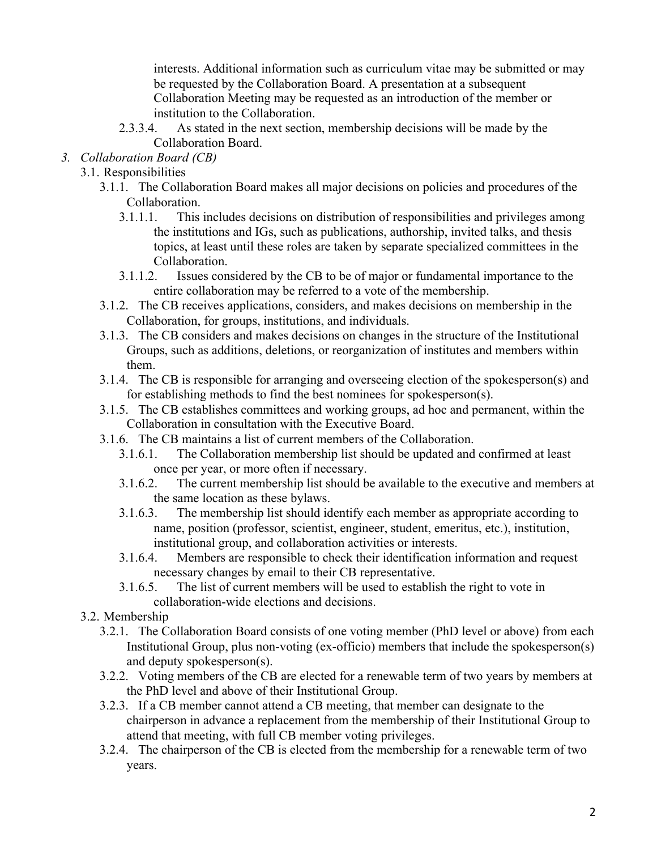interests. Additional information such as curriculum vitae may be submitted or may be requested by the Collaboration Board. A presentation at a subsequent Collaboration Meeting may be requested as an introduction of the member or institution to the Collaboration.

- 2.3.3.4. As stated in the next section, membership decisions will be made by the Collaboration Board.
- *3. Collaboration Board (CB)*
	- 3.1. Responsibilities
		- 3.1.1. The Collaboration Board makes all major decisions on policies and procedures of the Collaboration.
			- 3.1.1.1. This includes decisions on distribution of responsibilities and privileges among the institutions and IGs, such as publications, authorship, invited talks, and thesis topics, at least until these roles are taken by separate specialized committees in the Collaboration.
			- 3.1.1.2. Issues considered by the CB to be of major or fundamental importance to the entire collaboration may be referred to a vote of the membership.
		- 3.1.2. The CB receives applications, considers, and makes decisions on membership in the Collaboration, for groups, institutions, and individuals.
		- 3.1.3. The CB considers and makes decisions on changes in the structure of the Institutional Groups, such as additions, deletions, or reorganization of institutes and members within them.
		- 3.1.4. The CB is responsible for arranging and overseeing election of the spokesperson(s) and for establishing methods to find the best nominees for spokesperson(s).
		- 3.1.5. The CB establishes committees and working groups, ad hoc and permanent, within the Collaboration in consultation with the Executive Board.
		- 3.1.6. The CB maintains a list of current members of the Collaboration.
			- 3.1.6.1. The Collaboration membership list should be updated and confirmed at least once per year, or more often if necessary.
			- 3.1.6.2. The current membership list should be available to the executive and members at the same location as these bylaws.
			- 3.1.6.3. The membership list should identify each member as appropriate according to name, position (professor, scientist, engineer, student, emeritus, etc.), institution, institutional group, and collaboration activities or interests.
			- 3.1.6.4. Members are responsible to check their identification information and request necessary changes by email to their CB representative.
			- 3.1.6.5. The list of current members will be used to establish the right to vote in collaboration-wide elections and decisions.
	- 3.2. Membership
		- 3.2.1. The Collaboration Board consists of one voting member (PhD level or above) from each Institutional Group, plus non-voting (ex-officio) members that include the spokesperson(s) and deputy spokesperson(s).
		- 3.2.2. Voting members of the CB are elected for a renewable term of two years by members at the PhD level and above of their Institutional Group.
		- 3.2.3. If a CB member cannot attend a CB meeting, that member can designate to the chairperson in advance a replacement from the membership of their Institutional Group to attend that meeting, with full CB member voting privileges.
		- 3.2.4. The chairperson of the CB is elected from the membership for a renewable term of two years.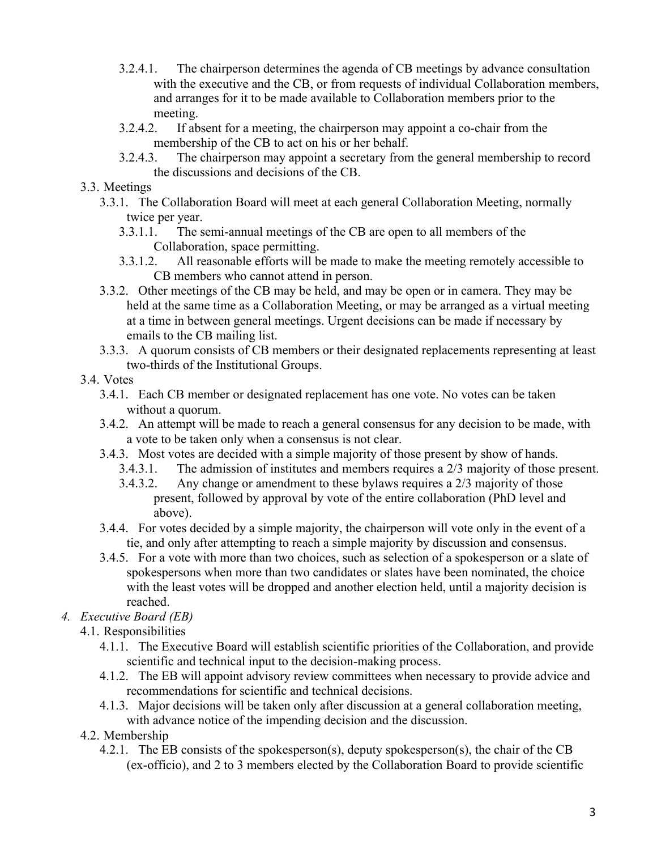- 3.2.4.1. The chairperson determines the agenda of CB meetings by advance consultation with the executive and the CB, or from requests of individual Collaboration members, and arranges for it to be made available to Collaboration members prior to the meeting.
- 3.2.4.2. If absent for a meeting, the chairperson may appoint a co-chair from the membership of the CB to act on his or her behalf.
- 3.2.4.3. The chairperson may appoint a secretary from the general membership to record the discussions and decisions of the CB.
- 3.3. Meetings
	- 3.3.1. The Collaboration Board will meet at each general Collaboration Meeting, normally twice per year.
		- 3.3.1.1. The semi-annual meetings of the CB are open to all members of the Collaboration, space permitting.
		- 3.3.1.2. All reasonable efforts will be made to make the meeting remotely accessible to CB members who cannot attend in person.
	- 3.3.2. Other meetings of the CB may be held, and may be open or in camera. They may be held at the same time as a Collaboration Meeting, or may be arranged as a virtual meeting at a time in between general meetings. Urgent decisions can be made if necessary by emails to the CB mailing list.
	- 3.3.3. A quorum consists of CB members or their designated replacements representing at least two-thirds of the Institutional Groups.
- 3.4. Votes
	- 3.4.1. Each CB member or designated replacement has one vote. No votes can be taken without a quorum.
	- 3.4.2. An attempt will be made to reach a general consensus for any decision to be made, with a vote to be taken only when a consensus is not clear.
	- 3.4.3. Most votes are decided with a simple majority of those present by show of hands.
		- 3.4.3.1. The admission of institutes and members requires a 2/3 majority of those present.
		- 3.4.3.2. Any change or amendment to these bylaws requires a 2/3 majority of those present, followed by approval by vote of the entire collaboration (PhD level and above).
	- 3.4.4. For votes decided by a simple majority, the chairperson will vote only in the event of a tie, and only after attempting to reach a simple majority by discussion and consensus.
	- 3.4.5. For a vote with more than two choices, such as selection of a spokesperson or a slate of spokespersons when more than two candidates or slates have been nominated, the choice with the least votes will be dropped and another election held, until a majority decision is reached.

## *4. Executive Board (EB)*

- 4.1. Responsibilities
	- 4.1.1. The Executive Board will establish scientific priorities of the Collaboration, and provide scientific and technical input to the decision-making process.
	- 4.1.2. The EB will appoint advisory review committees when necessary to provide advice and recommendations for scientific and technical decisions.
	- 4.1.3. Major decisions will be taken only after discussion at a general collaboration meeting, with advance notice of the impending decision and the discussion.
- 4.2. Membership
	- 4.2.1. The EB consists of the spokesperson(s), deputy spokesperson(s), the chair of the CB (ex-officio), and 2 to 3 members elected by the Collaboration Board to provide scientific